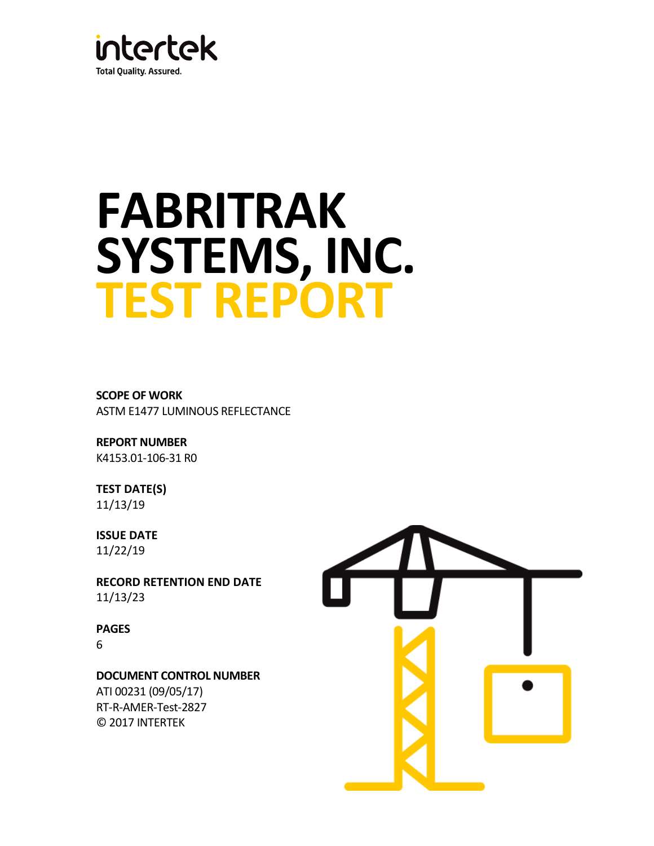

# **FABRITRAK SYSTEMS, INC. TEST REPORT**

**SCOPE OF WORK** ASTM E1477 LUMINOUS REFLECTANCE

**REPORT NUMBER** K4153.01-106-31 R0

**TEST DATE(S)** 11/13/19

**ISSUE DATE** 11/22/19

**RECORD RETENTION END DATE** 11/13/23

**PAGES** 6

**DOCUMENT CONTROL NUMBER** ATI 00231 (09/05/17)

RT-R-AMER-Test-2827 © 2017 INTERTEK

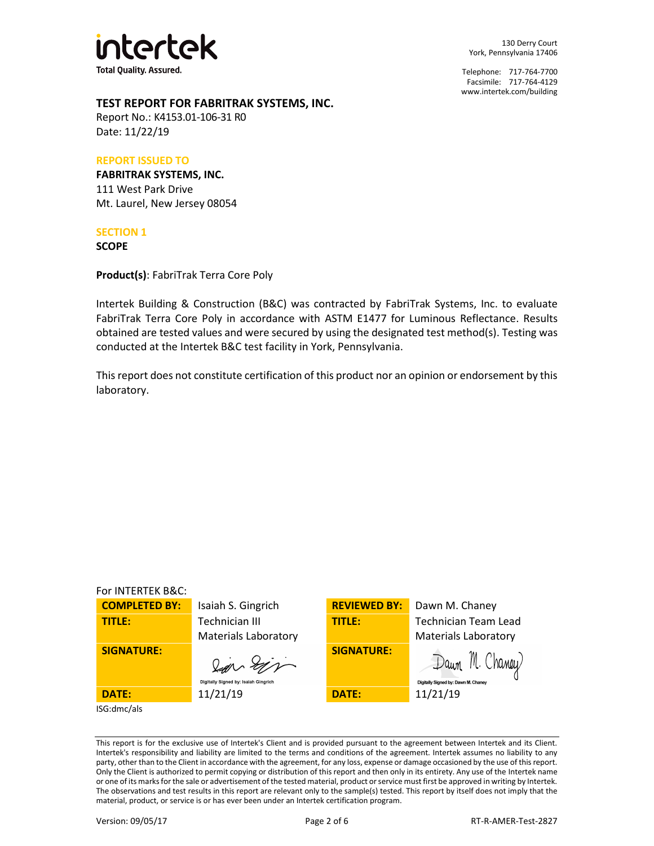

130 Derry Court York, Pennsylvania 17406

Telephone: 717-764-7700 Facsimile: 717-764-4129 [www.intertek.com/building](http://www.intertek.com/building)

# **TEST REPORT FOR FABRITRAK SYSTEMS, INC.**

Report No.: K4153.01-106-31 R0 Date: 11/22/19

#### **REPORT ISSUED TO**

**FABRITRAK SYSTEMS, INC.** 111 West Park Drive Mt. Laurel, New Jersey 08054

#### **SECTION 1**

**SCOPE**

**Product(s)**: FabriTrak Terra Core Poly

Intertek Building & Construction (B&C) was contracted by FabriTrak Systems, Inc. to evaluate FabriTrak Terra Core Poly in accordance with ASTM E1477 for Luminous Reflectance. Results obtained are tested values and were secured by using the designated test method(s). Testing was conducted at the Intertek B&C test facility in York, Pennsylvania.

This report does not constitute certification of this product nor an opinion or endorsement by this laboratory.

| For INTERTEK B&C:    |                                      |                     |                                     |
|----------------------|--------------------------------------|---------------------|-------------------------------------|
| <b>COMPLETED BY:</b> | Isaiah S. Gingrich                   | <b>REVIEWED BY:</b> | Dawn M. Chaney                      |
| TITLE:               | <b>Technician III</b>                | <b>TITLE:</b>       | <b>Technician Team Lead</b>         |
|                      | <b>Materials Laboratory</b>          |                     | <b>Materials Laboratory</b>         |
| <b>SIGNATURE:</b>    | lan Sin                              | <b>SIGNATURE:</b>   | Dawn '                              |
|                      | Digitally Signed by: Isaiah Gingrich |                     | Digitally Signed by: Dawn M. Chaney |
| DATE:                | 11/21/19                             | <b>DATE:</b>        | 11/21/19                            |
| ISG:dmc/als          |                                      |                     |                                     |

This report is for the exclusive use of Intertek's Client and is provided pursuant to the agreement between Intertek and its Client. Intertek's responsibility and liability are limited to the terms and conditions of the agreement. Intertek assumes no liability to any party, other than to the Client in accordance with the agreement, for any loss, expense or damage occasioned by the use of this report. Only the Client is authorized to permit copying or distribution of this report and then only in its entirety. Any use of the Intertek name or one of its marks for the sale or advertisement of the tested material, product or service must first be approved in writing by Intertek. The observations and test results in this report are relevant only to the sample(s) tested. This report by itself does not imply that the material, product, or service is or has ever been under an Intertek certification program.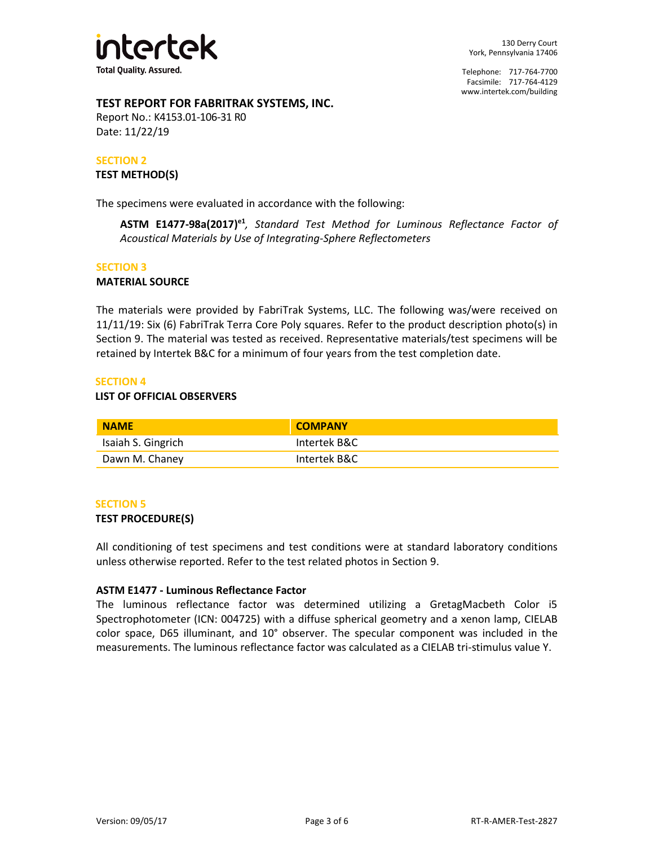

Telephone: 717-764-7700 Facsimile: 717-764-4129 [www.intertek.com/building](http://www.intertek.com/building)

# **TEST REPORT FOR FABRITRAK SYSTEMS, INC.**

Report No.: K4153.01-106-31 R0 Date: 11/22/19

# **SECTION 2**

#### **TEST METHOD(S)**

The specimens were evaluated in accordance with the following:

**ASTM E1477-98a(2017)e1** *, Standard Test Method for Luminous Reflectance Factor of Acoustical Materials by Use of Integrating-Sphere Reflectometers*

#### **SECTION 3**

#### **MATERIAL SOURCE**

The materials were provided by FabriTrak Systems, LLC. The following was/were received on 11/11/19: Six (6) FabriTrak Terra Core Poly squares. Refer to the product description photo(s) in Section 9. The material was tested as received. Representative materials/test specimens will be retained by Intertek B&C for a minimum of four years from the test completion date.

#### **SECTION 4**

#### **LIST OF OFFICIAL OBSERVERS**

| <b>NAME</b>        | <b>COMPANY</b> |
|--------------------|----------------|
| Isaiah S. Gingrich | Intertek B&C   |
| Dawn M. Chaney     | Intertek B&C   |

#### **SECTION 5**

#### **TEST PROCEDURE(S)**

All conditioning of test specimens and test conditions were at standard laboratory conditions unless otherwise reported. Refer to the test related photos in Section 9.

#### **ASTM E1477 - Luminous Reflectance Factor**

The luminous reflectance factor was determined utilizing a GretagMacbeth Color i5 Spectrophotometer (ICN: 004725) with a diffuse spherical geometry and a xenon lamp, CIELAB color space, D65 illuminant, and 10° observer. The specular component was included in the measurements. The luminous reflectance factor was calculated as a CIELAB tri-stimulus value Y.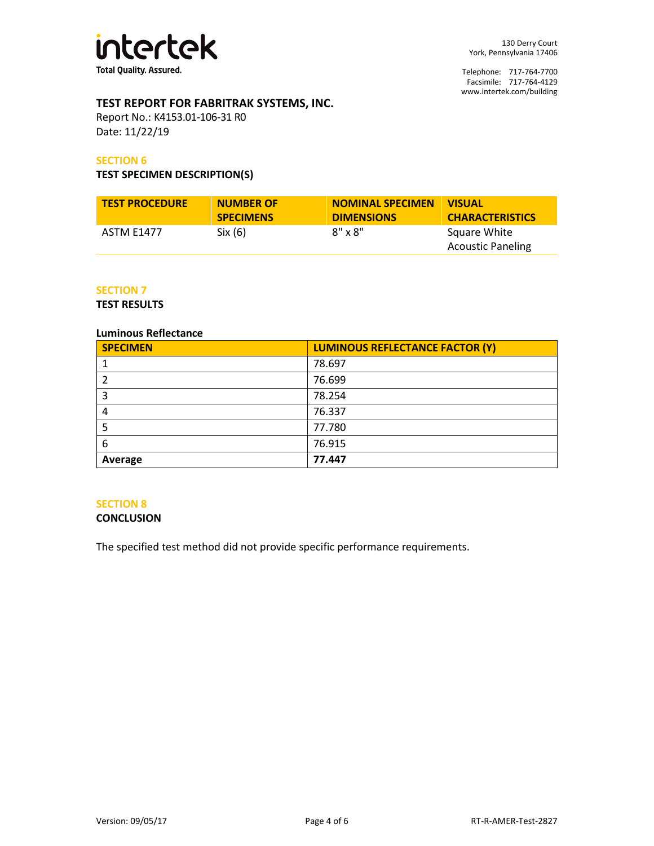

Telephone: 717-764-7700 Facsimile: 717-764-4129 [www.intertek.com/building](http://www.intertek.com/building)

# **TEST REPORT FOR FABRITRAK SYSTEMS, INC.**

Report No.: K4153.01-106-31 R0 Date: 11/22/19

#### **SECTION 6**

#### **TEST SPECIMEN DESCRIPTION(S)**

| <b>TEST PROCEDURE</b> | <b>NUMBER OF</b> | <b>NOMINAL SPECIMEN</b> | <b>VISUAL</b>                            |
|-----------------------|------------------|-------------------------|------------------------------------------|
|                       | <b>SPECIMENS</b> | <b>DIMENSIONS</b>       | <b>CHARACTERISTICS</b>                   |
| ASTM E1477            | Six(6)           | $8" \times 8"$          | Square White<br><b>Acoustic Paneling</b> |

#### **SECTION 7**

**TEST RESULTS**

#### **Luminous Reflectance**

| <b>SPECIMEN</b> | <b>LUMINOUS REFLECTANCE FACTOR (Y)</b> |
|-----------------|----------------------------------------|
|                 | 78.697                                 |
|                 | 76.699                                 |
|                 | 78.254                                 |
| 4               | 76.337                                 |
|                 | 77.780                                 |
| 6               | 76.915                                 |
| Average         | 77.447                                 |

#### **SECTION 8**

#### **CONCLUSION**

The specified test method did not provide specific performance requirements.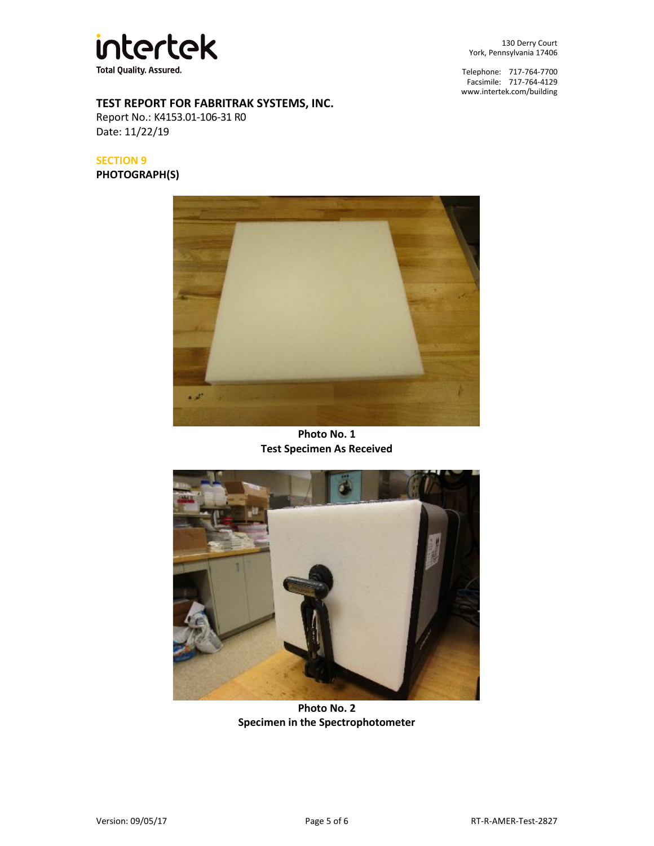

130 Derry Court York, Pennsylvania 17406

Telephone: 717-764-7700 Facsimile: 717-764-4129 [www.intertek.com/building](http://www.intertek.com/building)

# **TEST REPORT FOR FABRITRAK SYSTEMS, INC.**

Report No.: K4153.01-106-31 R0 Date: 11/22/19

**SECTION 9**

**PHOTOGRAPH(S)**



**Photo No. 1 Test Specimen As Received**



**Photo No. 2 Specimen in the Spectrophotometer**